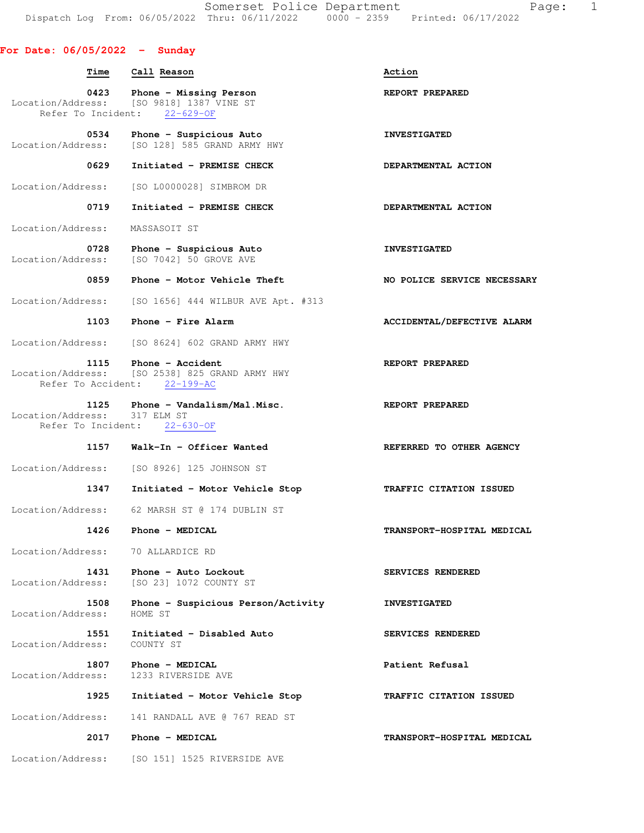## **For Date: 06/05/2022 - Sunday**

| <b>Time</b>                          | Call Reason                                                                                             | Action                      |
|--------------------------------------|---------------------------------------------------------------------------------------------------------|-----------------------------|
|                                      | 0423 Phone - Missing Person<br>Location/Address: [SO 9818] 1387 VINE ST<br>Refer To Incident: 22-629-OF | REPORT PREPARED             |
| 0534                                 | Phone - Suspicious Auto<br>Location/Address: [SO 128] 585 GRAND ARMY HWY                                | <b>INVESTIGATED</b>         |
| 0629                                 | Initiated - PREMISE CHECK                                                                               | DEPARTMENTAL ACTION         |
| Location/Address:                    | [SO L0000028] SIMBROM DR                                                                                |                             |
| 0719                                 | Initiated - PREMISE CHECK                                                                               | DEPARTMENTAL ACTION         |
| Location/Address:                    | MASSASOIT ST                                                                                            |                             |
| 0728<br>Location/Address:            | Phone - Suspicious Auto<br>[SO 7042] 50 GROVE AVE                                                       | <b>INVESTIGATED</b>         |
| 0859                                 | Phone - Motor Vehicle Theft                                                                             | NO POLICE SERVICE NECESSARY |
|                                      | Location/Address: [SO 1656] 444 WILBUR AVE Apt. #313                                                    |                             |
| 1103                                 | Phone - Fire Alarm                                                                                      | ACCIDENTAL/DEFECTIVE ALARM  |
|                                      | Location/Address: [SO 8624] 602 GRAND ARMY HWY                                                          |                             |
|                                      | 1115 Phone - Accident<br>Location/Address: [SO 2538] 825 GRAND ARMY HWY<br>Refer To Accident: 22-199-AC | REPORT PREPARED             |
| 1125<br>Location/Address: 317 ELM ST | Phone - Vandalism/Mal.Misc.<br>Refer To Incident: 22-630-OF                                             | REPORT PREPARED             |
| 1157                                 | Walk-In - Officer Wanted                                                                                | REFERRED TO OTHER AGENCY    |
|                                      | Location/Address: [SO 8926] 125 JOHNSON ST                                                              |                             |
| 1347                                 | Initiated - Motor Vehicle Stop                                                                          | TRAFFIC CITATION ISSUED     |
| Location/Address:                    | 62 MARSH ST @ 174 DUBLIN ST                                                                             |                             |
| 1426                                 | Phone - MEDICAL                                                                                         | TRANSPORT-HOSPITAL MEDICAL  |
| Location/Address: 70 ALLARDICE RD    |                                                                                                         |                             |
| 1431<br>Location/Address:            | Phone - Auto Lockout<br>[SO 23] 1072 COUNTY ST                                                          | SERVICES RENDERED           |
| 1508<br>Location/Address:            | Phone - Suspicious Person/Activity<br>HOME ST                                                           | <b>INVESTIGATED</b>         |
| 1551<br>Location/Address:            | Initiated - Disabled Auto<br>COUNTY ST                                                                  | SERVICES RENDERED           |
|                                      | 1807 Phone - MEDICAL<br>Location/Address: 1233 RIVERSIDE AVE                                            | Patient Refusal             |
| 1925                                 | Initiated - Motor Vehicle Stop                                                                          | TRAFFIC CITATION ISSUED     |
|                                      | Location/Address: 141 RANDALL AVE @ 767 READ ST                                                         |                             |
| 2017                                 | Phone - MEDICAL                                                                                         | TRANSPORT-HOSPITAL MEDICAL  |
| Location/Address:                    | [SO 151] 1525 RIVERSIDE AVE                                                                             |                             |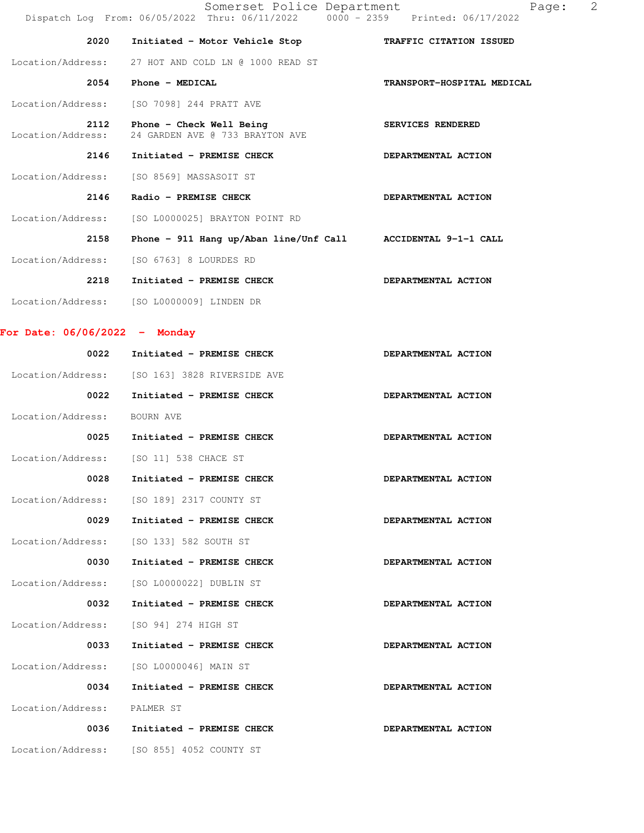|                                 | Somerset Police Department<br>Dispatch Log From: 06/05/2022 Thru: 06/11/2022 0000 - 2359 Printed: 06/17/2022 | $\overline{2}$<br>Page:    |
|---------------------------------|--------------------------------------------------------------------------------------------------------------|----------------------------|
| 2020                            | Initiated - Motor Vehicle Stop                                                                               | TRAFFIC CITATION ISSUED    |
| Location/Address:               | 27 HOT AND COLD LN @ 1000 READ ST                                                                            |                            |
| 2054                            | Phone - MEDICAL                                                                                              | TRANSPORT-HOSPITAL MEDICAL |
| Location/Address:               | [SO 7098] 244 PRATT AVE                                                                                      |                            |
| 2112<br>Location/Address:       | Phone - Check Well Being<br>24 GARDEN AVE @ 733 BRAYTON AVE                                                  | SERVICES RENDERED          |
| 2146                            | Initiated - PREMISE CHECK                                                                                    | DEPARTMENTAL ACTION        |
| Location/Address:               | [SO 8569] MASSASOIT ST                                                                                       |                            |
| 2146                            | Radio - PREMISE CHECK                                                                                        | DEPARTMENTAL ACTION        |
| Location/Address:               | [SO L0000025] BRAYTON POINT RD                                                                               |                            |
| 2158                            | Phone - 911 Hang up/Aban line/Unf Call ACCIDENTAL 9-1-1 CALL                                                 |                            |
| Location/Address:               | [SO 6763] 8 LOURDES RD                                                                                       |                            |
| 2218                            | Initiated - PREMISE CHECK                                                                                    | DEPARTMENTAL ACTION        |
|                                 | Location/Address: [SO L0000009] LINDEN DR                                                                    |                            |
| For Date: $06/06/2022 -$ Monday |                                                                                                              |                            |
| 0022                            | Initiated - PREMISE CHECK                                                                                    | DEPARTMENTAL ACTION        |
| Location/Address:               | [SO 163] 3828 RIVERSIDE AVE                                                                                  |                            |
| 0022                            | Initiated - PREMISE CHECK                                                                                    | DEPARTMENTAL ACTION        |

 Location/Address: BOURN AVE 0025 Initiated - PREMISE CHECK **DEPARTMENTAL ACTION** Location/Address: [SO 11] 538 CHACE ST

0028 Initiated - PREMISE CHECK **DEPARTMENTAL ACTION** Location/Address: [SO 189] 2317 COUNTY ST

0029 Initiated - PREMISE CHECK **DEPARTMENTAL ACTION** Location/Address: [SO 133] 582 SOUTH ST

0030 Initiated - PREMISE CHECK **DEPARTMENTAL ACTION** Location/Address: [SO L0000022] DUBLIN ST

0032 Initiated - PREMISE CHECK **DEPARTMENTAL ACTION** Location/Address: [SO 94] 274 HIGH ST

0033 Initiated - PREMISE CHECK **DEPARTMENTAL ACTION** Location/Address: [SO L0000046] MAIN ST

0034 Initiated - PREMISE CHECK **DEPARTMENTAL ACTION**  Location/Address: PALMER ST 0036 Initiated - PREMISE CHECK **DEPARTMENTAL ACTION** 

Location/Address: [SO 855] 4052 COUNTY ST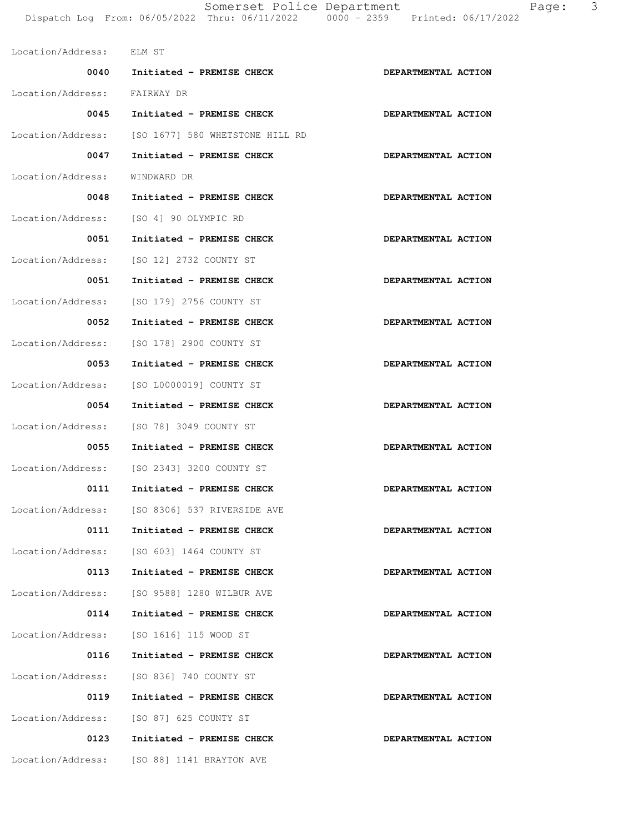| Location/Address: ELM ST     |                                               |                     |
|------------------------------|-----------------------------------------------|---------------------|
| 0040                         | Initiated - PREMISE CHECK                     | DEPARTMENTAL ACTION |
| Location/Address: FAIRWAY DR |                                               |                     |
| 0045                         | Initiated - PREMISE CHECK                     | DEPARTMENTAL ACTION |
| Location/Address:            | [SO 1677] 580 WHETSTONE HILL RD               |                     |
| 0047                         | Initiated - PREMISE CHECK                     | DEPARTMENTAL ACTION |
| Location/Address:            | WINDWARD DR                                   |                     |
| 0048                         | Initiated - PREMISE CHECK                     | DEPARTMENTAL ACTION |
|                              | Location/Address: [SO 4] 90 OLYMPIC RD        |                     |
| 0051                         | Initiated - PREMISE CHECK                     | DEPARTMENTAL ACTION |
|                              | Location/Address: [SO 12] 2732 COUNTY ST      |                     |
| 0051                         | Initiated - PREMISE CHECK                     | DEPARTMENTAL ACTION |
| Location/Address:            | [SO 179] 2756 COUNTY ST                       |                     |
| 0052                         | Initiated - PREMISE CHECK                     | DEPARTMENTAL ACTION |
| Location/Address:            | [SO 178] 2900 COUNTY ST                       |                     |
| 0053                         | Initiated - PREMISE CHECK                     | DEPARTMENTAL ACTION |
|                              | Location/Address: [SO L0000019] COUNTY ST     |                     |
| 0054                         | Initiated - PREMISE CHECK                     | DEPARTMENTAL ACTION |
|                              | Location/Address: [SO 78] 3049 COUNTY ST      |                     |
| 0055                         | Initiated - PREMISE CHECK                     | DEPARTMENTAL ACTION |
|                              | Location/Address: [SO 2343] 3200 COUNTY ST    |                     |
| 0111                         | Initiated - PREMISE CHECK                     | DEPARTMENTAL ACTION |
|                              | Location/Address: [SO 8306] 537 RIVERSIDE AVE |                     |
| 0111                         | Initiated - PREMISE CHECK                     | DEPARTMENTAL ACTION |
|                              | Location/Address: [SO 603] 1464 COUNTY ST     |                     |
| 0113                         | Initiated - PREMISE CHECK                     | DEPARTMENTAL ACTION |
|                              | Location/Address: [SO 9588] 1280 WILBUR AVE   |                     |
| 0114                         | Initiated - PREMISE CHECK                     | DEPARTMENTAL ACTION |
|                              | Location/Address: [SO 1616] 115 WOOD ST       |                     |
| 0116                         | Initiated - PREMISE CHECK                     | DEPARTMENTAL ACTION |
|                              | Location/Address: [SO 836] 740 COUNTY ST      |                     |
| 0119                         | Initiated - PREMISE CHECK                     | DEPARTMENTAL ACTION |
|                              | Location/Address: [SO 87] 625 COUNTY ST       |                     |
| 0123                         | Initiated - PREMISE CHECK                     | DEPARTMENTAL ACTION |
|                              | Location/Address: [SO 88] 1141 BRAYTON AVE    |                     |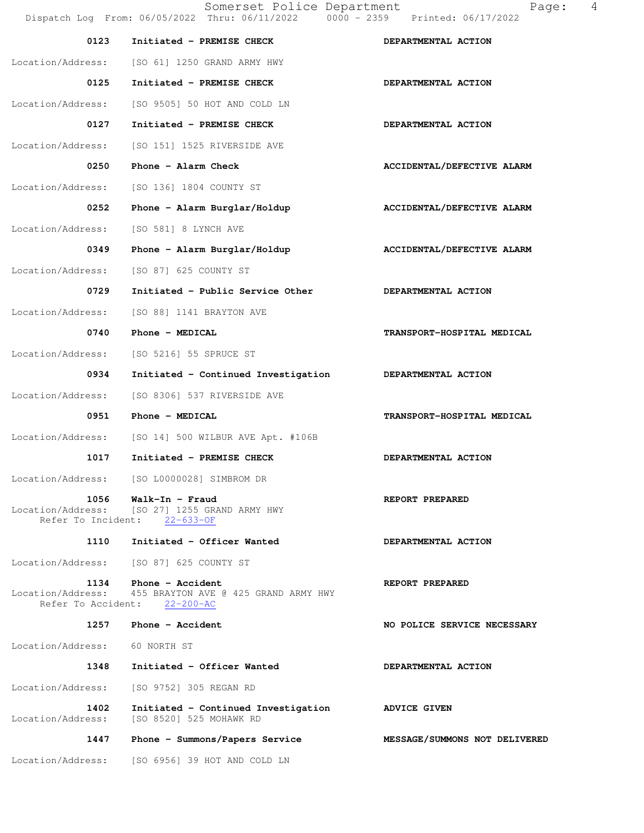|                           | Somerset Police Department<br>Dispatch Log From: 06/05/2022 Thru: 06/11/2022 0000 - 2359 Printed: 06/17/2022 | 4<br>Page:                    |
|---------------------------|--------------------------------------------------------------------------------------------------------------|-------------------------------|
| 0123                      | Initiated - PREMISE CHECK                                                                                    | DEPARTMENTAL ACTION           |
| Location/Address:         | [SO 61] 1250 GRAND ARMY HWY                                                                                  |                               |
| 0125                      | Initiated - PREMISE CHECK                                                                                    | DEPARTMENTAL ACTION           |
| Location/Address:         | [SO 9505] 50 HOT AND COLD LN                                                                                 |                               |
| 0127                      | Initiated - PREMISE CHECK                                                                                    | DEPARTMENTAL ACTION           |
| Location/Address:         | [SO 151] 1525 RIVERSIDE AVE                                                                                  |                               |
| 0250                      | Phone - Alarm Check                                                                                          | ACCIDENTAL/DEFECTIVE ALARM    |
| Location/Address:         | [SO 136] 1804 COUNTY ST                                                                                      |                               |
| 0252                      | Phone - Alarm Burglar/Holdup                                                                                 | ACCIDENTAL/DEFECTIVE ALARM    |
| Location/Address:         | [SO 581] 8 LYNCH AVE                                                                                         |                               |
| 0349                      | Phone - Alarm Burglar/Holdup                                                                                 | ACCIDENTAL/DEFECTIVE ALARM    |
| Location/Address:         | [SO 87] 625 COUNTY ST                                                                                        |                               |
| 0729                      | Initiated - Public Service Other                                                                             | DEPARTMENTAL ACTION           |
| Location/Address:         | [SO 88] 1141 BRAYTON AVE                                                                                     |                               |
| 0740                      | Phone - MEDICAL                                                                                              | TRANSPORT-HOSPITAL MEDICAL    |
| Location/Address:         | [SO 5216] 55 SPRUCE ST                                                                                       |                               |
| 0934                      | Initiated - Continued Investigation                                                                          | DEPARTMENTAL ACTION           |
| Location/Address:         | [SO 8306] 537 RIVERSIDE AVE                                                                                  |                               |
| 0951                      | Phone - MEDICAL                                                                                              | TRANSPORT-HOSPITAL MEDICAL    |
| Location/Address:         | [SO 14] 500 WILBUR AVE Apt. #106B                                                                            |                               |
| 1017                      | Initiated - PREMISE CHECK                                                                                    | DEPARTMENTAL ACTION           |
| Location/Address:         | [SO L0000028] SIMBROM DR                                                                                     |                               |
| 1056                      | Walk-In - Fraud<br>Location/Address: [SO 27] 1255 GRAND ARMY HWY<br>Refer To Incident: 22-633-OF             | REPORT PREPARED               |
| 1110                      | Initiated - Officer Wanted                                                                                   | DEPARTMENTAL ACTION           |
| Location/Address:         | [SO 87] 625 COUNTY ST                                                                                        |                               |
| 1134<br>Location/Address: | Phone - Accident<br>455 BRAYTON AVE @ 425 GRAND ARMY HWY<br>Refer To Accident: 22-200-AC                     | REPORT PREPARED               |
| 1257                      | Phone - Accident                                                                                             | NO POLICE SERVICE NECESSARY   |
| Location/Address:         | 60 NORTH ST                                                                                                  |                               |
| 1348                      | Initiated - Officer Wanted                                                                                   | DEPARTMENTAL ACTION           |
| Location/Address:         | [SO 9752] 305 REGAN RD                                                                                       |                               |
| 1402<br>Location/Address: | Initiated - Continued Investigation<br>[SO 8520] 525 MOHAWK RD                                               | <b>ADVICE GIVEN</b>           |
| 1447                      | Phone - Summons/Papers Service                                                                               | MESSAGE/SUMMONS NOT DELIVERED |
|                           | Location/Address: [SO 6956] 39 HOT AND COLD LN                                                               |                               |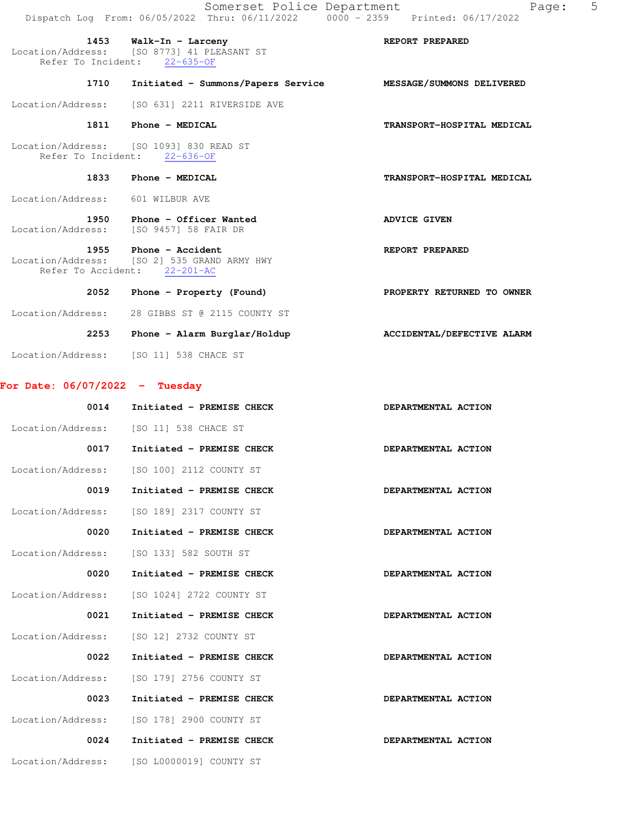|                                  | Somerset Police Department<br>Dispatch Log From: 06/05/2022 Thru: 06/11/2022                         | Page:<br>0000 - 2359 Printed: 06/17/2022 | 5 |
|----------------------------------|------------------------------------------------------------------------------------------------------|------------------------------------------|---|
| 1453                             | Walk-In - Larceny<br>Location/Address: [SO 8773] 41 PLEASANT ST<br>Refer To Incident: 22-635-OF      | REPORT PREPARED                          |   |
| 1710                             | Initiated - Summons/Papers Service MESSAGE/SUMMONS DELIVERED                                         |                                          |   |
|                                  | Location/Address: [SO 631] 2211 RIVERSIDE AVE                                                        |                                          |   |
|                                  | 1811 Phone - MEDICAL                                                                                 | TRANSPORT-HOSPITAL MEDICAL               |   |
|                                  | Location/Address: [SO 1093] 830 READ ST<br>Refer To Incident: 22-636-OF                              |                                          |   |
|                                  | 1833 Phone - MEDICAL                                                                                 | TRANSPORT-HOSPITAL MEDICAL               |   |
| Location/Address: 601 WILBUR AVE |                                                                                                      |                                          |   |
|                                  | 1950 Phone - Officer Wanted<br>Location/Address: [SO 9457] 58 FAIR DR                                | <b>ADVICE GIVEN</b>                      |   |
|                                  | 1955 Phone - Accident<br>Location/Address: [SO 2] 535 GRAND ARMY HWY<br>Refer To Accident: 22-201-AC | REPORT PREPARED                          |   |
| 2052                             | Phone - Property (Found)                                                                             | PROPERTY RETURNED TO OWNER               |   |
| Location/Address:                | 28 GIBBS ST @ 2115 COUNTY ST                                                                         |                                          |   |
| 2253                             | Phone - Alarm Burglar/Holdup                                                                         | ACCIDENTAL/DEFECTIVE ALARM               |   |
|                                  | Location/Address: [SO 11] 538 CHACE ST                                                               |                                          |   |
| For Date: $06/07/2022 -$ Tuesday |                                                                                                      |                                          |   |
| 0014                             | Initiated - PREMISE CHECK                                                                            | DEPARTMENTAL ACTION                      |   |
| Location/Address:                | [SO 11] 538 CHACE ST                                                                                 |                                          |   |
| 0017                             | Initiated - PREMISE CHECK                                                                            | DEPARTMENTAL ACTION                      |   |
| Location/Address:                | [SO 100] 2112 COUNTY ST                                                                              |                                          |   |

0019 Initiated - PREMISE CHECK **DEPARTMENTAL ACTION** Location/Address: [SO 189] 2317 COUNTY ST

0020 Initiated - PREMISE CHECK **DEPARTMENTAL ACTION** 

0020 Initiated - PREMISE CHECK **DEPARTMENTAL ACTION** Location/Address: [SO 1024] 2722 COUNTY ST

0021 Initiated - PREMISE CHECK **DEPARTMENTAL ACTION** 

0022 Initiated - PREMISE CHECK **DEPARTMENTAL ACTION** Location/Address: [SO 179] 2756 COUNTY ST

0023 Initiated - PREMISE CHECK **DEPARTMENTAL ACTION** Location/Address: [SO 178] 2900 COUNTY ST 0024 Initiated - PREMISE CHECK **DEPARTMENTAL ACTION** 

Location/Address: [SO L0000019] COUNTY ST

Location/Address: [SO 133] 582 SOUTH ST

Location/Address: [SO 12] 2732 COUNTY ST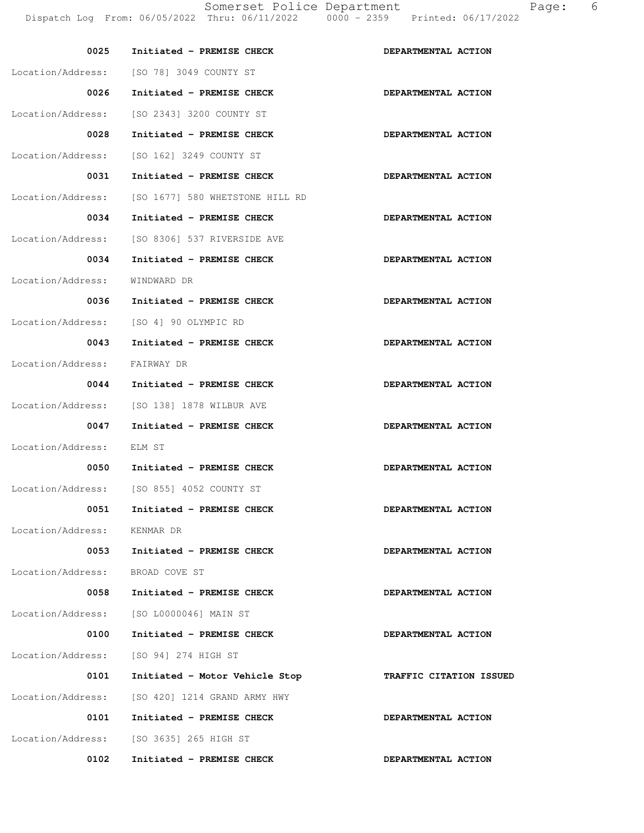| 0025                        | Initiated - PREMISE CHECK                 | DEPARTMENTAL ACTION     |
|-----------------------------|-------------------------------------------|-------------------------|
|                             | Location/Address: [SO 78] 3049 COUNTY ST  |                         |
| 0026                        | Initiated - PREMISE CHECK                 | DEPARTMENTAL ACTION     |
| Location/Address:           | [SO 2343] 3200 COUNTY ST                  |                         |
| 0028                        | Initiated - PREMISE CHECK                 | DEPARTMENTAL ACTION     |
| Location/Address:           | [SO 162] 3249 COUNTY ST                   |                         |
| 0031                        | Initiated - PREMISE CHECK                 | DEPARTMENTAL ACTION     |
| Location/Address:           | [SO 1677] 580 WHETSTONE HILL RD           |                         |
| 0034                        | Initiated - PREMISE CHECK                 | DEPARTMENTAL ACTION     |
| Location/Address:           | [SO 8306] 537 RIVERSIDE AVE               |                         |
| 0034                        | Initiated - PREMISE CHECK                 | DEPARTMENTAL ACTION     |
| Location/Address:           | WINDWARD DR                               |                         |
| 0036                        | Initiated - PREMISE CHECK                 | DEPARTMENTAL ACTION     |
|                             | Location/Address: [SO 4] 90 OLYMPIC RD    |                         |
| 0043                        | Initiated - PREMISE CHECK                 | DEPARTMENTAL ACTION     |
| Location/Address:           | FAIRWAY DR                                |                         |
| 0044                        | Initiated - PREMISE CHECK                 | DEPARTMENTAL ACTION     |
| Location/Address:           | [SO 138] 1878 WILBUR AVE                  |                         |
| 0047                        | Initiated - PREMISE CHECK                 | DEPARTMENTAL ACTION     |
| Location/Address:           | ELM ST                                    |                         |
| 0050                        | Initiated - PREMISE CHECK                 | DEPARTMENTAL ACTION     |
|                             | Location/Address: [SO 855] 4052 COUNTY ST |                         |
| 0051                        | Initiated - PREMISE CHECK                 | DEPARTMENTAL ACTION     |
| Location/Address: KENMAR DR |                                           |                         |
|                             | 0053 Initiated - PREMISE CHECK            | DEPARTMENTAL ACTION     |
| Location/Address:           | BROAD COVE ST                             |                         |
| 0058                        | Initiated - PREMISE CHECK                 | DEPARTMENTAL ACTION     |
|                             | Location/Address: [SO L0000046] MAIN ST   |                         |
| 0100                        | Initiated - PREMISE CHECK                 | DEPARTMENTAL ACTION     |
| Location/Address:           | [SO 94] 274 HIGH ST                       |                         |
| 0101                        | Initiated - Motor Vehicle Stop            | TRAFFIC CITATION ISSUED |
| Location/Address:           | [SO 420] 1214 GRAND ARMY HWY              |                         |
| 0101                        | Initiated - PREMISE CHECK                 | DEPARTMENTAL ACTION     |
|                             | Location/Address: [SO 3635] 265 HIGH ST   |                         |
| 0102                        | Initiated - PREMISE CHECK                 | DEPARTMENTAL ACTION     |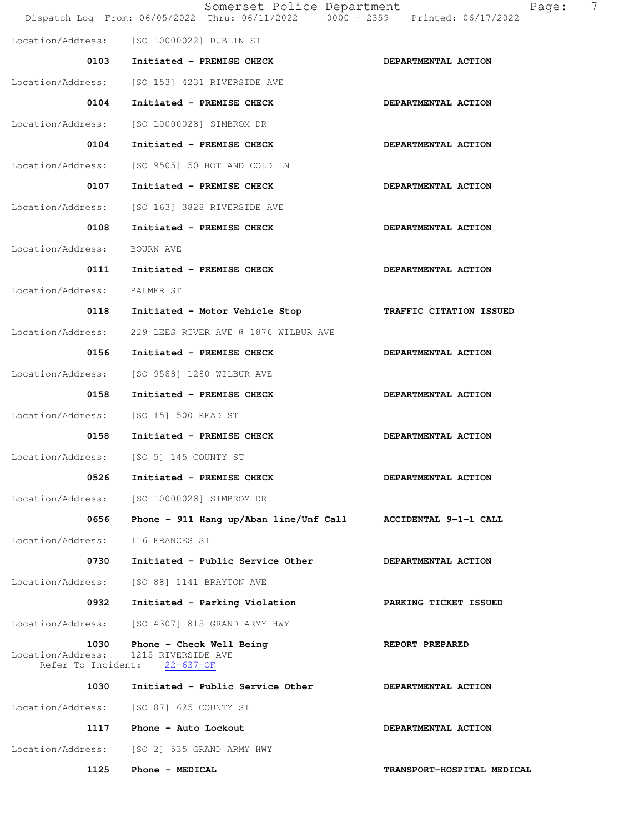|                                                 | Somerset Police Department<br>Dispatch Log From: 06/05/2022 Thru: 06/11/2022 0000 - 2359 Printed: 06/17/2022 | 7<br>Page:                 |
|-------------------------------------------------|--------------------------------------------------------------------------------------------------------------|----------------------------|
|                                                 | Location/Address: [SO L0000022] DUBLIN ST                                                                    |                            |
| 0103                                            | Initiated - PREMISE CHECK                                                                                    | DEPARTMENTAL ACTION        |
| Location/Address:                               | [SO 153] 4231 RIVERSIDE AVE                                                                                  |                            |
| 0104                                            | Initiated - PREMISE CHECK                                                                                    | DEPARTMENTAL ACTION        |
| Location/Address:                               | [SO L0000028] SIMBROM DR                                                                                     |                            |
| 0104                                            | Initiated - PREMISE CHECK                                                                                    | DEPARTMENTAL ACTION        |
| Location/Address:                               | [SO 9505] 50 HOT AND COLD LN                                                                                 |                            |
| 0107                                            | Initiated - PREMISE CHECK                                                                                    | DEPARTMENTAL ACTION        |
| Location/Address:                               | [SO 163] 3828 RIVERSIDE AVE                                                                                  |                            |
| 0108                                            | Initiated - PREMISE CHECK                                                                                    | DEPARTMENTAL ACTION        |
| Location/Address:                               | BOURN AVE                                                                                                    |                            |
| 0111                                            | Initiated - PREMISE CHECK                                                                                    | DEPARTMENTAL ACTION        |
| Location/Address:                               | PALMER ST                                                                                                    |                            |
| 0118                                            | Initiated - Motor Vehicle Stop                                                                               | TRAFFIC CITATION ISSUED    |
| Location/Address:                               | 229 LEES RIVER AVE @ 1876 WILBUR AVE                                                                         |                            |
| 0156                                            | Initiated - PREMISE CHECK                                                                                    | DEPARTMENTAL ACTION        |
| Location/Address:                               | [SO 9588] 1280 WILBUR AVE                                                                                    |                            |
| 0158                                            | Initiated - PREMISE CHECK                                                                                    | DEPARTMENTAL ACTION        |
| Location/Address:                               | [SO 15] 500 READ ST                                                                                          |                            |
| 0158                                            | Initiated - PREMISE CHECK                                                                                    | DEPARTMENTAL ACTION        |
|                                                 | Location/Address: [SO 5] 145 COUNTY ST                                                                       |                            |
| 0526                                            | Initiated - PREMISE CHECK                                                                                    | DEPARTMENTAL ACTION        |
| Location/Address:                               | [SO L0000028] SIMBROM DR                                                                                     |                            |
| 0656                                            | Phone - 911 Hang up/Aban line/Unf Call ACCIDENTAL 9-1-1 CALL                                                 |                            |
| Location/Address:                               | 116 FRANCES ST                                                                                               |                            |
| 0730                                            | Initiated - Public Service Other                                                                             | DEPARTMENTAL ACTION        |
| Location/Address:                               | [SO 88] 1141 BRAYTON AVE                                                                                     |                            |
| 0932                                            | Initiated - Parking Violation                                                                                | PARKING TICKET ISSUED      |
| Location/Address:                               | [SO 4307] 815 GRAND ARMY HWY                                                                                 |                            |
| 1030<br>Location/Address:<br>Refer To Incident: | Phone - Check Well Being<br>1215 RIVERSIDE AVE<br>$22 - 637 - OF$                                            | REPORT PREPARED            |
| 1030                                            | Initiated - Public Service Other                                                                             | DEPARTMENTAL ACTION        |
| Location/Address:                               | [SO 87] 625 COUNTY ST                                                                                        |                            |
| 1117                                            | Phone - Auto Lockout                                                                                         | DEPARTMENTAL ACTION        |
| Location/Address:                               | [SO 2] 535 GRAND ARMY HWY                                                                                    |                            |
| 1125                                            | Phone - MEDICAL                                                                                              | TRANSPORT-HOSPITAL MEDICAL |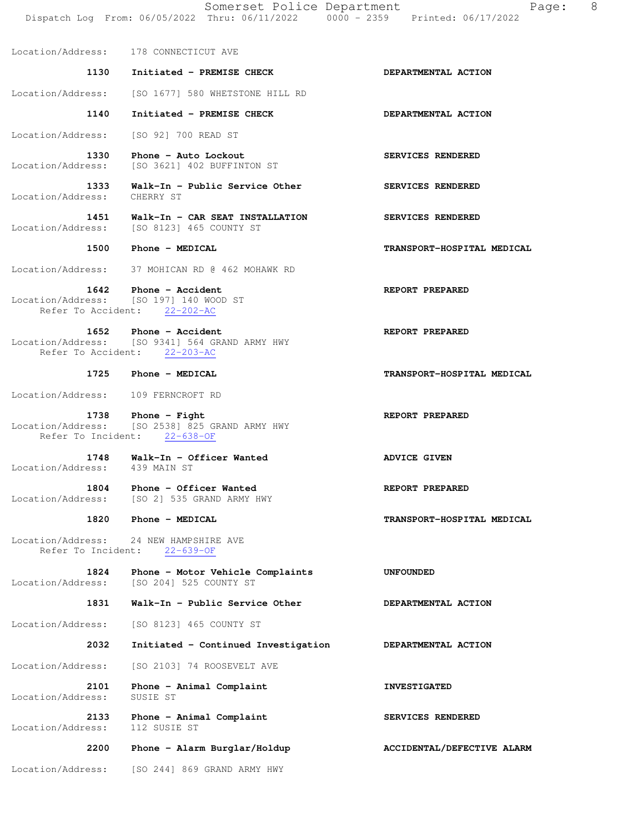Somerset Police Department Page: 8 Dispatch Log From: 06/05/2022 Thru: 06/11/2022 0000 - 2359 Printed: 06/17/2022

Location/Address: 178 CONNECTICUT AVE

1130 Initiated - PREMISE CHECK **DEPARTMENTAL ACTION**  Location/Address: [SO 1677] 580 WHETSTONE HILL RD 1140 Initiated - PREMISE CHECK **DEPARTMENTAL ACTION**  Location/Address: [SO 92] 700 READ ST 1330 Phone - Auto Lockout **SERVICES RENDERED**  Location/Address: [SO 3621] 402 BUFFINTON ST 1333 Walk-In - Public Service Other **SERVICES RENDERED**  Location/Address: CHERRY ST  **1451 Walk-In - CAR SEAT INSTALLATION SERVICES RENDERED**  Location/Address: [SO 8123] 465 COUNTY ST  **1500 Phone - MEDICAL TRANSPORT-HOSPITAL MEDICAL**  Location/Address: 37 MOHICAN RD @ 462 MOHAWK RD 1642 Phone - Accident **REPORT PREPARED** Location/Address: [SO 197] 140 WOOD ST<br>Refer To Accident: 22-202-AC Refer To Accident: 1652 Phone - Accident **REPORT PREPARED**  Location/Address: [SO 9341] 564 GRAND ARMY HWY Refer To Accident: 22-203-AC  **1725 Phone - MEDICAL TRANSPORT-HOSPITAL MEDICAL**  Location/Address: 109 FERNCROFT RD **1738** Phone - Fight **REPORT PREPARED**  Location/Address: [SO 2538] 825 GRAND ARMY HWY Refer To Incident: 22-638-OF 1748 Walk-In - Officer Wanted **ADVICE GIVEN**  Location/Address: 439 MAIN ST 1804 Phone - Officer Wanted **REPORT PREPARED**  Location/Address: [SO 2] 535 GRAND ARMY HWY  **1820 Phone - MEDICAL TRANSPORT-HOSPITAL MEDICAL**  Location/Address: 24 NEW HAMPSHIRE AVE Refer To Incident: 22-639-OF  **1824 Phone - Motor Vehicle Complaints UNFOUNDED**  Location/Address: [SO 204] 525 COUNTY ST  **1831 Walk-In - Public Service Other DEPARTMENTAL ACTION**  Location/Address: [SO 8123] 465 COUNTY ST  **2032 Initiated - Continued Investigation DEPARTMENTAL ACTION**  Location/Address: [SO 2103] 74 ROOSEVELT AVE 2101 Phone - Animal Complaint **INVESTIGATED**  Location/Address: SUSIE ST 2133 Phone - Animal Complaint **SERVICES RENDERED** Location/Address: 112 SUSIE ST

 **2200 Phone - Alarm Burglar/Holdup ACCIDENTAL/DEFECTIVE ALARM** 

Location/Address: [SO 244] 869 GRAND ARMY HWY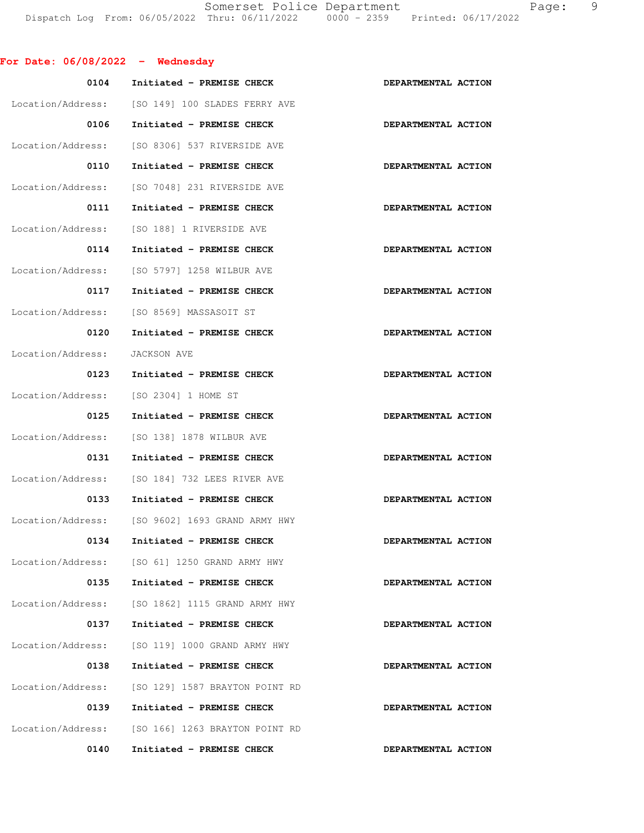Somerset Police Department Fage: 9 Dispatch Log From: 06/05/2022 Thru: 06/11/2022 0000 - 2359 Printed: 06/17/2022

| For Date: $06/08/2022 -$ Wednesday |                                                 |                     |
|------------------------------------|-------------------------------------------------|---------------------|
| 0104                               | Initiated - PREMISE CHECK                       | DEPARTMENTAL ACTION |
|                                    | Location/Address: [SO 149] 100 SLADES FERRY AVE |                     |
| 0106                               | Initiated - PREMISE CHECK                       | DEPARTMENTAL ACTION |
|                                    | Location/Address: [SO 8306] 537 RIVERSIDE AVE   |                     |
| 0110                               | Initiated - PREMISE CHECK                       | DEPARTMENTAL ACTION |
| Location/Address:                  | [SO 7048] 231 RIVERSIDE AVE                     |                     |
| 0111                               | Initiated - PREMISE CHECK                       | DEPARTMENTAL ACTION |
|                                    | Location/Address: [SO 188] 1 RIVERSIDE AVE      |                     |
| 0114                               | Initiated - PREMISE CHECK                       | DEPARTMENTAL ACTION |
| Location/Address:                  | [SO 5797] 1258 WILBUR AVE                       |                     |
| 0117                               | Initiated - PREMISE CHECK                       | DEPARTMENTAL ACTION |
| Location/Address:                  | [SO 8569] MASSASOIT ST                          |                     |
| 0120                               | Initiated - PREMISE CHECK                       | DEPARTMENTAL ACTION |
| Location/Address: JACKSON AVE      |                                                 |                     |
| 0123                               | Initiated - PREMISE CHECK                       | DEPARTMENTAL ACTION |
| Location/Address:                  | [SO 2304] 1 HOME ST                             |                     |
| 0125                               | Initiated - PREMISE CHECK                       | DEPARTMENTAL ACTION |
|                                    | Location/Address: [SO 138] 1878 WILBUR AVE      |                     |
| 0131                               | Initiated - PREMISE CHECK                       | DEPARTMENTAL ACTION |
|                                    | Location/Address: [SO 184] 732 LEES RIVER AVE   |                     |
| 0133                               | Initiated - PREMISE CHECK                       | DEPARTMENTAL ACTION |
| Location/Address:                  | [SO 9602] 1693 GRAND ARMY HWY                   |                     |
| 0134                               | Initiated - PREMISE CHECK                       | DEPARTMENTAL ACTION |
|                                    | Location/Address: [SO 61] 1250 GRAND ARMY HWY   |                     |
| 0135                               | Initiated - PREMISE CHECK                       | DEPARTMENTAL ACTION |
| Location/Address:                  | [SO 1862] 1115 GRAND ARMY HWY                   |                     |
| 0137                               | Initiated - PREMISE CHECK                       | DEPARTMENTAL ACTION |
| Location/Address:                  | [SO 119] 1000 GRAND ARMY HWY                    |                     |
| 0138                               | Initiated - PREMISE CHECK                       | DEPARTMENTAL ACTION |
| Location/Address:                  | [SO 129] 1587 BRAYTON POINT RD                  |                     |
| 0139                               | Initiated - PREMISE CHECK                       | DEPARTMENTAL ACTION |
| Location/Address:                  | [SO 166] 1263 BRAYTON POINT RD                  |                     |
| 0140                               | Initiated - PREMISE CHECK                       | DEPARTMENTAL ACTION |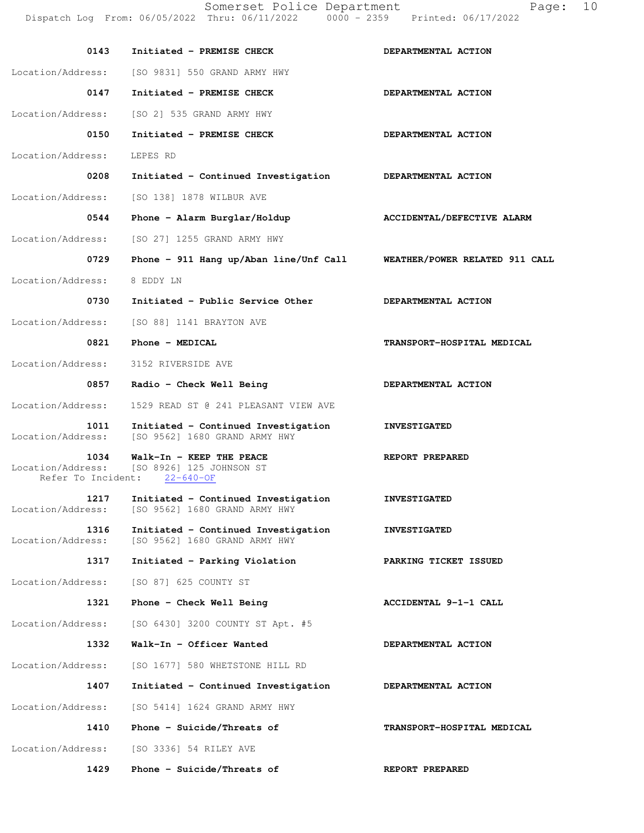|                            | Dispatch Log From: 06/05/2022 Thru: 06/11/2022                                            | 0000 - 2359 Printed: 06/17/2022 |
|----------------------------|-------------------------------------------------------------------------------------------|---------------------------------|
| 0143                       | Initiated - PREMISE CHECK                                                                 | DEPARTMENTAL ACTION             |
| Location/Address:          | [SO 9831] 550 GRAND ARMY HWY                                                              |                                 |
| 0147                       | Initiated - PREMISE CHECK                                                                 | DEPARTMENTAL ACTION             |
| Location/Address:          | [SO 2] 535 GRAND ARMY HWY                                                                 |                                 |
| 0150                       | Initiated - PREMISE CHECK                                                                 | DEPARTMENTAL ACTION             |
| Location/Address:          | LEPES RD                                                                                  |                                 |
| 0208                       | Initiated - Continued Investigation                                                       | DEPARTMENTAL ACTION             |
| Location/Address:          | [SO 138] 1878 WILBUR AVE                                                                  |                                 |
| 0544                       | Phone - Alarm Burglar/Holdup                                                              | ACCIDENTAL/DEFECTIVE ALARM      |
| Location/Address:          | [SO 27] 1255 GRAND ARMY HWY                                                               |                                 |
| 0729                       | Phone - 911 Hang up/Aban line/Unf Call                                                    | WEATHER/POWER RELATED 911 CALL  |
| Location/Address:          | 8 EDDY LN                                                                                 |                                 |
| 0730                       | Initiated - Public Service Other                                                          | DEPARTMENTAL ACTION             |
| Location/Address:          | [SO 88] 1141 BRAYTON AVE                                                                  |                                 |
| 0821                       | Phone - MEDICAL                                                                           | TRANSPORT-HOSPITAL MEDICAL      |
| Location/Address:          | 3152 RIVERSIDE AVE                                                                        |                                 |
| 0857                       | Radio - Check Well Being                                                                  | DEPARTMENTAL ACTION             |
| Location/Address:          | 1529 READ ST @ 241 PLEASANT VIEW AVE                                                      |                                 |
| 1011<br>Location/Address:  | Initiated - Continued Investigation<br>[SO 9562] 1680 GRAND ARMY HWY                      | <b>INVESTIGATED</b>             |
| 1034<br>Refer To Incident: | Walk-In - KEEP THE PEACE<br>Location/Address: [SO 8926] 125 JOHNSON ST<br>$22 - 640 - OF$ | REPORT PREPARED                 |
| 1217<br>Location/Address:  | Initiated - Continued Investigation<br>[SO 9562] 1680 GRAND ARMY HWY                      | <b>INVESTIGATED</b>             |
| 1316<br>Location/Address:  | Initiated - Continued Investigation<br>[SO 9562] 1680 GRAND ARMY HWY                      | <b>INVESTIGATED</b>             |
| 1317                       | Initiated - Parking Violation                                                             | PARKING TICKET ISSUED           |
| Location/Address:          | [SO 87] 625 COUNTY ST                                                                     |                                 |
| 1321                       | Phone - Check Well Being                                                                  | ACCIDENTAL 9-1-1 CALL           |
| Location/Address:          | [SO 6430] 3200 COUNTY ST Apt. #5                                                          |                                 |
| 1332                       | Walk-In - Officer Wanted                                                                  | DEPARTMENTAL ACTION             |
| Location/Address:          | [SO 1677] 580 WHETSTONE HILL RD                                                           |                                 |
| 1407                       | Initiated - Continued Investigation                                                       | DEPARTMENTAL ACTION             |
| Location/Address:          | [SO 5414] 1624 GRAND ARMY HWY                                                             |                                 |
| 1410                       | Phone - Suicide/Threats of                                                                | TRANSPORT-HOSPITAL MEDICAL      |
| Location/Address:          | [SO 3336] 54 RILEY AVE                                                                    |                                 |
| 1429                       | Phone - Suicide/Threats of                                                                | REPORT PREPARED                 |

Somerset Police Department Page: 10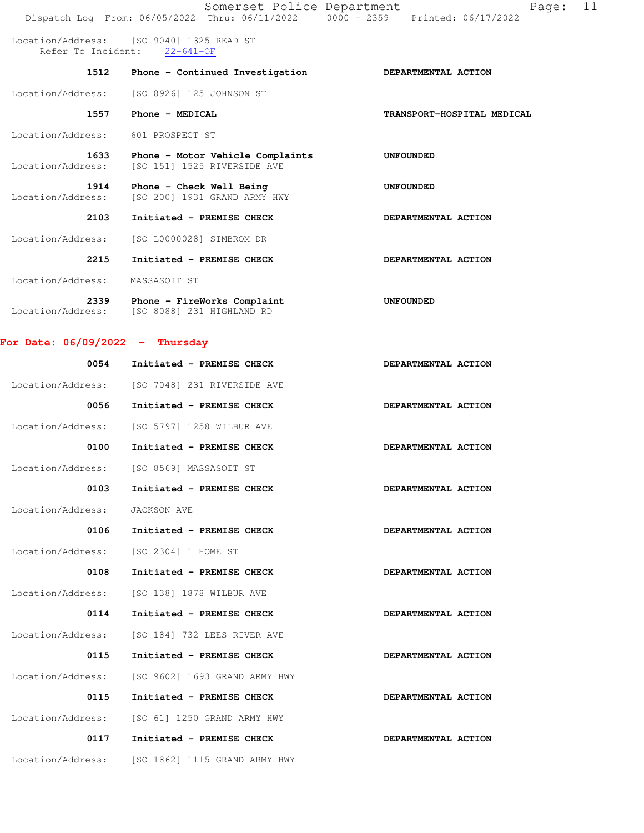|                                   | Somerset Police Department<br>Dispatch Log From: 06/05/2022 Thru: 06/11/2022 | 11<br>Page:<br>0000 - 2359 Printed: 06/17/2022 |  |
|-----------------------------------|------------------------------------------------------------------------------|------------------------------------------------|--|
| Refer To Incident:                | Location/Address: [SO 9040] 1325 READ ST<br>$22 - 641 - OF$                  |                                                |  |
| 1512                              | Phone - Continued Investigation                                              | DEPARTMENTAL ACTION                            |  |
|                                   | Location/Address: [SO 8926] 125 JOHNSON ST                                   |                                                |  |
| 1557                              | Phone - MEDICAL                                                              | TRANSPORT-HOSPITAL MEDICAL                     |  |
| Location/Address: 601 PROSPECT ST |                                                                              |                                                |  |
| 1633<br>Location/Address:         | Phone - Motor Vehicle Complaints<br>[SO 151] 1525 RIVERSIDE AVE              | <b>UNFOUNDED</b>                               |  |
| 1914<br>Location/Address:         | Phone - Check Well Being<br>[SO 200] 1931 GRAND ARMY HWY                     | <b>UNFOUNDED</b>                               |  |
| 2103                              | Initiated - PREMISE CHECK                                                    | DEPARTMENTAL ACTION                            |  |
| Location/Address:                 | [SO L0000028] SIMBROM DR                                                     |                                                |  |
| 2215                              | Initiated - PREMISE CHECK                                                    | DEPARTMENTAL ACTION                            |  |
| Location/Address:                 | MASSASOIT ST                                                                 |                                                |  |

2339 Phone - FireWorks Complaint **1200 UNFOUNDED** Location/Address: [SO 8088] 231 HIGHLAND RD

## **For Date: 06/09/2022 - Thursday**

| 0054              | Initiated - PREMISE CHECK     | DEPARTMENTAL ACTION |
|-------------------|-------------------------------|---------------------|
| Location/Address: | [SO 7048] 231 RIVERSIDE AVE   |                     |
| 0056              | Initiated - PREMISE CHECK     | DEPARTMENTAL ACTION |
| Location/Address: | [SO 5797] 1258 WILBUR AVE     |                     |
| 0100              | Initiated - PREMISE CHECK     | DEPARTMENTAL ACTION |
| Location/Address: | [SO 8569] MASSASOIT ST        |                     |
| 0103              | Initiated - PREMISE CHECK     | DEPARTMENTAL ACTION |
| Location/Address: | JACKSON AVE                   |                     |
| 0106              | Initiated - PREMISE CHECK     | DEPARTMENTAL ACTION |
| Location/Address: | [SO 2304] 1 HOME ST           |                     |
| 0108              | Initiated - PREMISE CHECK     | DEPARTMENTAL ACTION |
| Location/Address: | [SO 138] 1878 WILBUR AVE      |                     |
| 0114              | Initiated - PREMISE CHECK     | DEPARTMENTAL ACTION |
| Location/Address: | [SO 184] 732 LEES RIVER AVE   |                     |
| 0115              | Initiated - PREMISE CHECK     | DEPARTMENTAL ACTION |
| Location/Address: | [SO 9602] 1693 GRAND ARMY HWY |                     |
| 0115              | Initiated - PREMISE CHECK     | DEPARTMENTAL ACTION |
| Location/Address: | [SO 61] 1250 GRAND ARMY HWY   |                     |
| 0117              | Initiated - PREMISE CHECK     | DEPARTMENTAL ACTION |
| Location/Address: | [SO 1862] 1115 GRAND ARMY HWY |                     |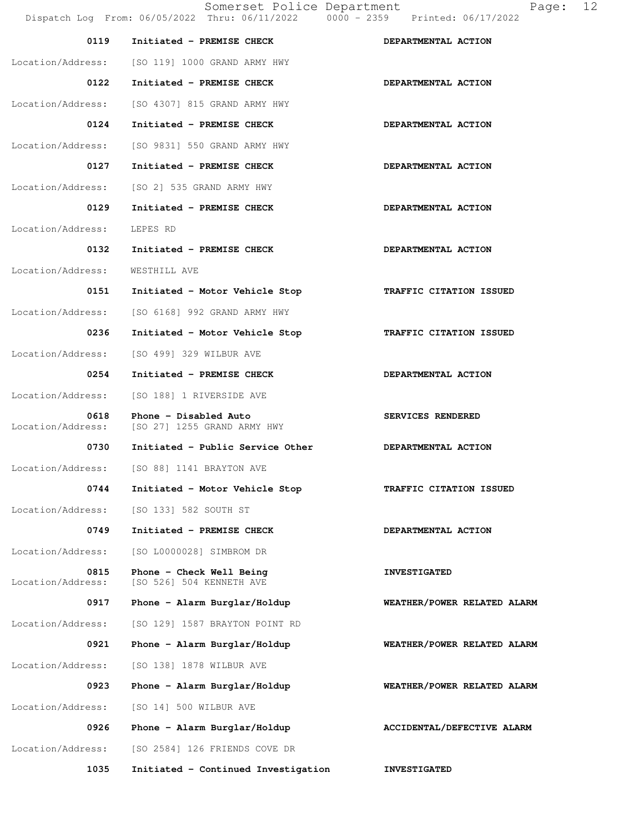Somerset Police Department Page: 12 Dispatch Log From: 06/05/2022 Thru: 06/11/2022 0000 - 2359 Printed: 06/17/2022 0119 Initiated - PREMISE CHECK **DEPARTMENTAL ACTION**  Location/Address: [SO 119] 1000 GRAND ARMY HWY 0122 Initiated - PREMISE CHECK **DEPARTMENTAL ACTION**  Location/Address: [SO 4307] 815 GRAND ARMY HWY 0124 Initiated - PREMISE CHECK **DEPARTMENTAL ACTION** Location/Address: [SO 9831] 550 GRAND ARMY HWY 0127 Initiated - PREMISE CHECK **DEPARTMENTAL ACTION** Location/Address: [SO 2] 535 GRAND ARMY HWY 0129 Initiated - PREMISE CHECK **DEPARTMENTAL ACTION**  Location/Address: LEPES RD 0132 Initiated - PREMISE CHECK **DEPARTMENTAL ACTION**  Location/Address: WESTHILL AVE  **0151 Initiated - Motor Vehicle Stop TRAFFIC CITATION ISSUED**  Location/Address: [SO 6168] 992 GRAND ARMY HWY  **0236 Initiated - Motor Vehicle Stop TRAFFIC CITATION ISSUED**  Location/Address: [SO 499] 329 WILBUR AVE 0254 Initiated - PREMISE CHECK **DEPARTMENTAL ACTION** Location/Address: [SO 188] 1 RIVERSIDE AVE 0618 Phone - Disabled Auto **SERVICES RENDERED** Location/Address: [SO 27] 1255 GRAND ARMY HWY 0730 Initiated - Public Service Other **DEPARTMENTAL ACTION**  Location/Address: [SO 88] 1141 BRAYTON AVE  **0744 Initiated - Motor Vehicle Stop TRAFFIC CITATION ISSUED**  Location/Address: [SO 133] 582 SOUTH ST 0749 Initiated - PREMISE CHECK **DEPARTMENTAL ACTION**  Location/Address: [SO L0000028] SIMBROM DR 0815 Phone - Check Well Being **INVESTIGATED** Location/Address: [SO 526] 504 KENNETH AVE 0917 Phone - Alarm Burglar/Holdup **WEATHER/POWER RELATED ALARM**  Location/Address: [SO 129] 1587 BRAYTON POINT RD  **0921 Phone - Alarm Burglar/Holdup WEATHER/POWER RELATED ALARM**  Location/Address: [SO 138] 1878 WILBUR AVE  **0923 Phone - Alarm Burglar/Holdup WEATHER/POWER RELATED ALARM**  Location/Address: [SO 14] 500 WILBUR AVE 0926 Phone - Alarm Burglar/Holdup **ACCIDENTAL/DEFECTIVE ALARM** Location/Address: [SO 2584] 126 FRIENDS COVE DR

 **1035 Initiated - Continued Investigation INVESTIGATED**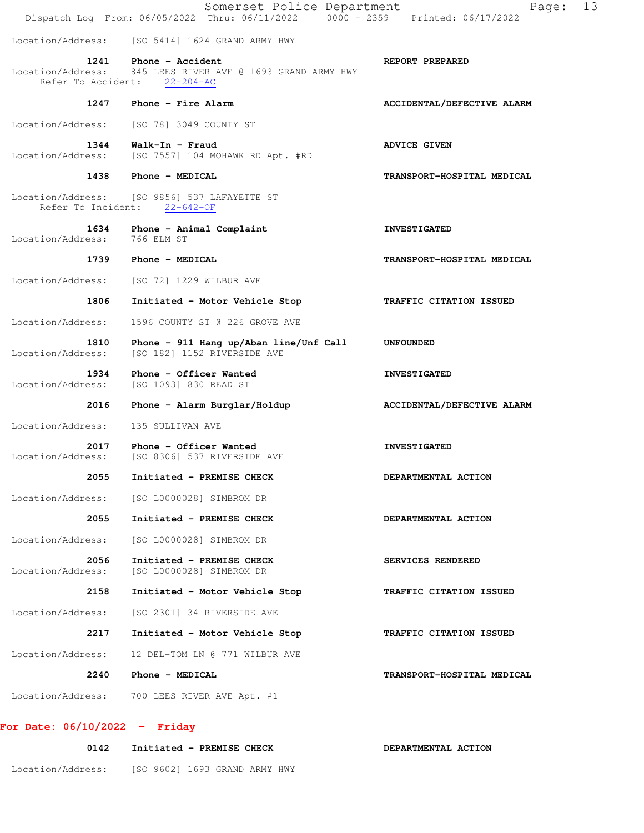|                                      | Somerset Police Department<br>Dispatch Log From: 06/05/2022 Thru: 06/11/2022 0000 - 2359 Printed: 06/17/2022 | 13<br>Page:                |
|--------------------------------------|--------------------------------------------------------------------------------------------------------------|----------------------------|
|                                      | Location/Address: [SO 5414] 1624 GRAND ARMY HWY                                                              |                            |
| Refer To Accident:                   | 1241 Phone - Accident<br>Location/Address: 845 LEES RIVER AVE @ 1693 GRAND ARMY HWY<br>$22 - 204 - AC$       | REPORT PREPARED            |
|                                      | 1247 Phone - Fire Alarm                                                                                      | ACCIDENTAL/DEFECTIVE ALARM |
| Location/Address:                    | [SO 78] 3049 COUNTY ST                                                                                       |                            |
| 1344<br>Location/Address:            | Walk-In - Fraud<br>[SO 7557] 104 MOHAWK RD Apt. #RD                                                          | <b>ADVICE GIVEN</b>        |
|                                      | 1438 Phone - MEDICAL                                                                                         | TRANSPORT-HOSPITAL MEDICAL |
|                                      | Location/Address: [SO 9856] 537 LAFAYETTE ST<br>Refer To Incident: 22-642-OF                                 |                            |
| 1634<br>Location/Address: 766 ELM ST | Phone - Animal Complaint                                                                                     | <b>INVESTIGATED</b>        |
|                                      | 1739 Phone - MEDICAL                                                                                         | TRANSPORT-HOSPITAL MEDICAL |
| Location/Address:                    | [SO 72] 1229 WILBUR AVE                                                                                      |                            |
| 1806                                 | Initiated - Motor Vehicle Stop                                                                               | TRAFFIC CITATION ISSUED    |
| Location/Address:                    | 1596 COUNTY ST @ 226 GROVE AVE                                                                               |                            |
| 1810<br>Location/Address:            | Phone - 911 Hang up/Aban line/Unf Call<br>[SO 182] 1152 RIVERSIDE AVE                                        | UNFOUNDED                  |
| 1934<br>Location/Address:            | Phone - Officer Wanted<br>[SO 1093] 830 READ ST                                                              | <b>INVESTIGATED</b>        |
| 2016                                 | Phone - Alarm Burglar/Holdup                                                                                 | ACCIDENTAL/DEFECTIVE ALARM |
| Location/Address:                    | 135 SULLIVAN AVE                                                                                             |                            |
| 2017<br>Location/Address:            | Phone - Officer Wanted<br>[SO 8306] 537 RIVERSIDE AVE                                                        | <b>INVESTIGATED</b>        |
| 2055                                 | Initiated - PREMISE CHECK                                                                                    | DEPARTMENTAL ACTION        |
| Location/Address:                    | [SO L0000028] SIMBROM DR                                                                                     |                            |
| 2055                                 | Initiated - PREMISE CHECK                                                                                    | DEPARTMENTAL ACTION        |
| Location/Address:                    | [SO L0000028] SIMBROM DR                                                                                     |                            |
| 2056<br>Location/Address:            | Initiated - PREMISE CHECK<br>[SO L0000028] SIMBROM DR                                                        | SERVICES RENDERED          |
| 2158                                 | Initiated - Motor Vehicle Stop                                                                               | TRAFFIC CITATION ISSUED    |
| Location/Address:                    | [SO 2301] 34 RIVERSIDE AVE                                                                                   |                            |
| 2217                                 | Initiated - Motor Vehicle Stop                                                                               | TRAFFIC CITATION ISSUED    |
| Location/Address:                    | 12 DEL-TOM LN @ 771 WILBUR AVE                                                                               |                            |
| 2240                                 | Phone - MEDICAL                                                                                              | TRANSPORT-HOSPITAL MEDICAL |
| Location/Address:                    | 700 LEES RIVER AVE Apt. #1                                                                                   |                            |

## **For Date: 06/10/2022 - Friday**

| 0142              | Initiated - PREMISE CHECK     | DEPARTMENTAL ACTION |
|-------------------|-------------------------------|---------------------|
| Location/Address: | [SO 9602] 1693 GRAND ARMY HWY |                     |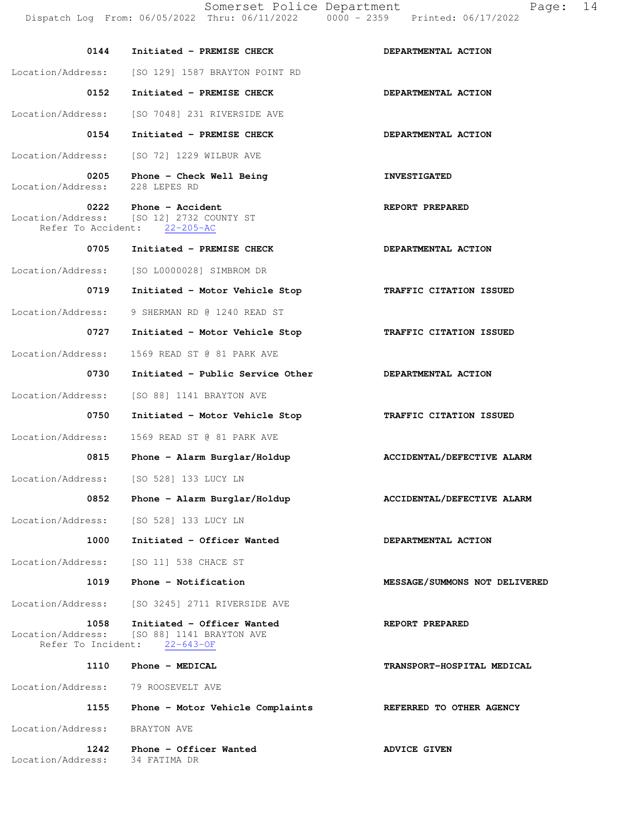| 0144                                            | Initiated - PREMISE CHECK                                                         | DEPARTMENTAL ACTION           |
|-------------------------------------------------|-----------------------------------------------------------------------------------|-------------------------------|
|                                                 | Location/Address: [SO 129] 1587 BRAYTON POINT RD                                  |                               |
| 0152                                            | Initiated - PREMISE CHECK                                                         | DEPARTMENTAL ACTION           |
|                                                 | Location/Address: [SO 7048] 231 RIVERSIDE AVE                                     |                               |
| 0154                                            | Initiated - PREMISE CHECK                                                         | DEPARTMENTAL ACTION           |
|                                                 | Location/Address: [SO 72] 1229 WILBUR AVE                                         |                               |
| Location/Address: 228 LEPES RD                  | 0205 Phone - Check Well Being                                                     | <b>INVESTIGATED</b>           |
| 0222<br>Location/Address:                       | <b>Phone - Accident</b><br>[SO 12] 2732 COUNTY ST<br>Refer To Accident: 22-205-AC | REPORT PREPARED               |
| 0705                                            | Initiated - PREMISE CHECK                                                         | DEPARTMENTAL ACTION           |
| Location/Address:                               | [SO L0000028] SIMBROM DR                                                          |                               |
| 0719                                            | Initiated - Motor Vehicle Stop                                                    | TRAFFIC CITATION ISSUED       |
| Location/Address:                               | 9 SHERMAN RD @ 1240 READ ST                                                       |                               |
| 0727                                            | Initiated - Motor Vehicle Stop                                                    | TRAFFIC CITATION ISSUED       |
| Location/Address:                               | 1569 READ ST @ 81 PARK AVE                                                        |                               |
| 0730                                            | Initiated - Public Service Other                                                  | DEPARTMENTAL ACTION           |
| Location/Address:                               | [SO 88] 1141 BRAYTON AVE                                                          |                               |
| 0750                                            | Initiated - Motor Vehicle Stop                                                    | TRAFFIC CITATION ISSUED       |
| Location/Address:                               | 1569 READ ST @ 81 PARK AVE                                                        |                               |
| 0815                                            | Phone - Alarm Burglar/Holdup                                                      | ACCIDENTAL/DEFECTIVE ALARM    |
| Location/Address:                               | [SO 528] 133 LUCY LN                                                              |                               |
| 0852                                            | Phone - Alarm Burglar/Holdup                                                      | ACCIDENTAL/DEFECTIVE ALARM    |
|                                                 | Location/Address: [SO 528] 133 LUCY LN                                            |                               |
| 1000                                            | Initiated - Officer Wanted                                                        | DEPARTMENTAL ACTION           |
| Location/Address:                               | [SO 11] 538 CHACE ST                                                              |                               |
|                                                 | 1019 Phone - Notification                                                         | MESSAGE/SUMMONS NOT DELIVERED |
| Location/Address:                               | [SO 3245] 2711 RIVERSIDE AVE                                                      |                               |
| 1058<br>Location/Address:<br>Refer To Incident: | Initiated - Officer Wanted<br>[SO 88] 1141 BRAYTON AVE<br>$22 - 643 - OF$         | REPORT PREPARED               |
| 1110                                            | Phone - MEDICAL                                                                   | TRANSPORT-HOSPITAL MEDICAL    |
| Location/Address:                               | 79 ROOSEVELT AVE                                                                  |                               |
| 1155                                            | Phone - Motor Vehicle Complaints                                                  | REFERRED TO OTHER AGENCY      |
| Location/Address:                               | BRAYTON AVE                                                                       |                               |
| 1242<br>Location/Address:                       | Phone - Officer Wanted<br>34 FATIMA DR                                            | <b>ADVICE GIVEN</b>           |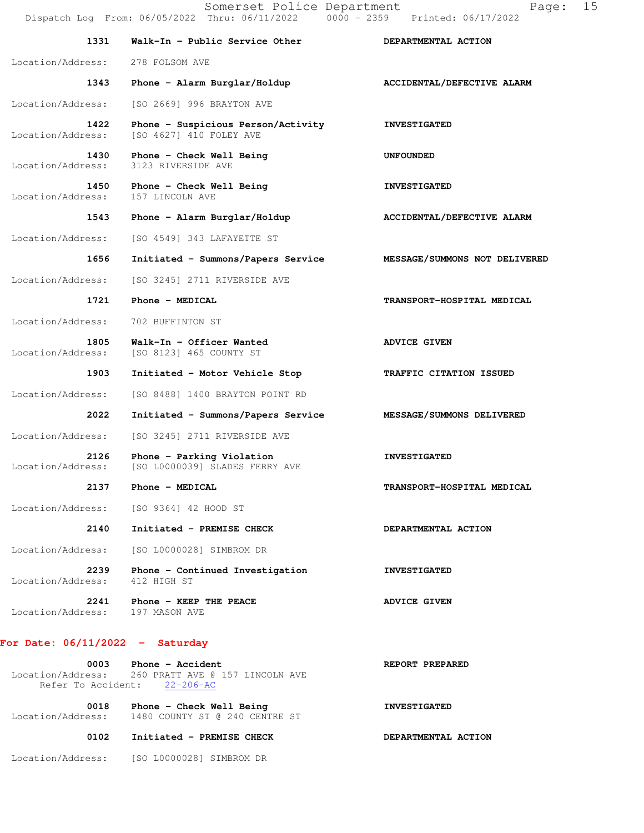| 1331                      | Walk-In - Public Service Other                                | DEPARTMENTAL ACTION           |
|---------------------------|---------------------------------------------------------------|-------------------------------|
| Location/Address:         | 278 FOLSOM AVE                                                |                               |
| 1343                      | Phone - Alarm Burglar/Holdup                                  | ACCIDENTAL/DEFECTIVE ALARM    |
| Location/Address:         | [SO 2669] 996 BRAYTON AVE                                     |                               |
| 1422<br>Location/Address: | Phone - Suspicious Person/Activity<br>ISO 46271 410 FOLEY AVE | <b>INVESTIGATED</b>           |
| 1430<br>Location/Address: | Phone - Check Well Being<br>3123 RIVERSIDE AVE                | <b>UNFOUNDED</b>              |
| 1450<br>Location/Address: | Phone - Check Well Being<br>157 LINCOLN AVE                   | <b>INVESTIGATED</b>           |
| 1543                      | Phone - Alarm Burglar/Holdup                                  | ACCIDENTAL/DEFECTIVE ALARM    |
| Location/Address:         | [SO 4549] 343 LAFAYETTE ST                                    |                               |
| 1656                      | Initiated - Summons/Papers Service                            | MESSAGE/SUMMONS NOT DELIVERED |
| Location/Address:         | [SO 3245] 2711 RIVERSIDE AVE                                  |                               |
| 1721                      | Phone - MEDICAL                                               | TRANSPORT-HOSPITAL MEDICAL    |
| Location/Address:         | 702 BUFFINTON ST                                              |                               |
| 1805<br>Location/Address: | Walk-In - Officer Wanted<br>[SO 8123] 465 COUNTY ST           | <b>ADVICE GIVEN</b>           |
| 1903                      | Initiated - Motor Vehicle Stop                                | TRAFFIC CITATION ISSUED       |
| Location/Address:         | [SO 8488] 1400 BRAYTON POINT RD                               |                               |
| 2022                      | Initiated - Summons/Papers Service                            | MESSAGE/SUMMONS DELIVERED     |
| Location/Address:         | [SO 3245] 2711 RIVERSIDE AVE                                  |                               |
| 2126<br>Location/Address: | Phone - Parking Violation<br>[SO L0000039] SLADES FERRY AVE   | <b>INVESTIGATED</b>           |
| 2137                      | Phone - MEDICAL                                               | TRANSPORT-HOSPITAL MEDICAL    |
| Location/Address:         | [SO 9364] 42 HOOD ST                                          |                               |
| 2140                      | Initiated - PREMISE CHECK                                     | DEPARTMENTAL ACTION           |
| Location/Address:         | [SO L0000028] SIMBROM DR                                      |                               |
| 2239<br>Location/Address: | Phone - Continued Investigation<br>412 HIGH ST                | <b>INVESTIGATED</b>           |
| 2241<br>Location/Address: | Phone - KEEP THE PEACE<br>197 MASON AVE                       | <b>ADVICE GIVEN</b>           |
|                           |                                                               |                               |

## **For Date: 06/11/2022 - Saturday**

| 0003                      | Phone - Accident<br>Location/Address: 260 PRATT AVE @ 157 LINCOLN AVE<br>Refer To Accident: 22-206-AC | REPORT PREPARED     |
|---------------------------|-------------------------------------------------------------------------------------------------------|---------------------|
| 0018<br>Location/Address: | Phone - Check Well Being<br>1480 COUNTY ST @ 240 CENTRE ST                                            | <b>INVESTIGATED</b> |
| 0102                      | Initiated - PREMISE CHECK                                                                             | DEPARTMENTAL ACTION |

Location/Address: [SO L0000028] SIMBROM DR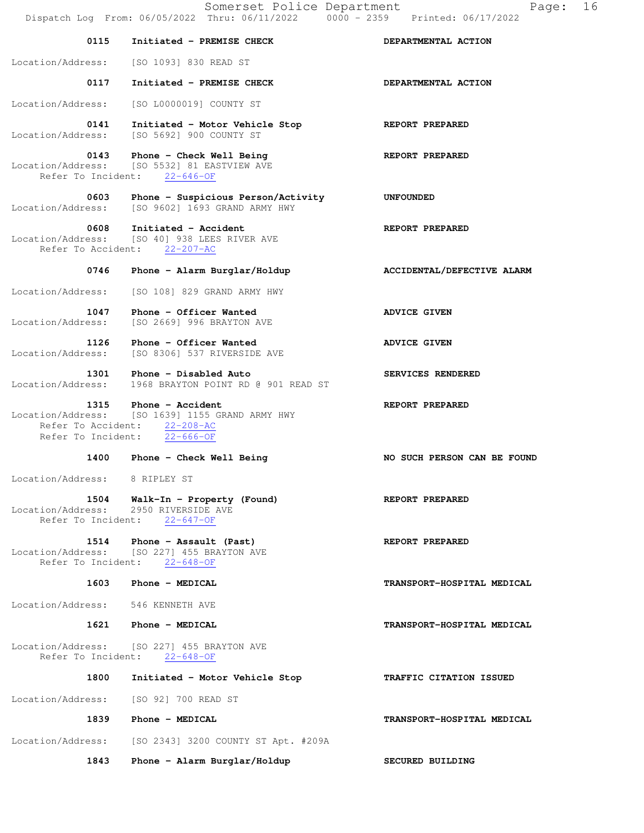|                                   | Somerset Police Department<br>Dispatch Log From: 06/05/2022 Thru: 06/11/2022 0000 - 2359 Printed: 06/17/2022           | 16<br>Page:                 |
|-----------------------------------|------------------------------------------------------------------------------------------------------------------------|-----------------------------|
| 0115                              | Initiated - PREMISE CHECK                                                                                              | DEPARTMENTAL ACTION         |
|                                   | Location/Address: [SO 1093] 830 READ ST                                                                                |                             |
| 0117                              | Initiated - PREMISE CHECK                                                                                              | DEPARTMENTAL ACTION         |
| Location/Address:                 | [SO L0000019] COUNTY ST                                                                                                |                             |
| 0141<br>Location/Address:         | Initiated - Motor Vehicle Stop<br>[SO 5692] 900 COUNTY ST                                                              | REPORT PREPARED             |
|                                   | 0143 Phone - Check Well Being<br>Location/Address: [SO 5532] 81 EASTVIEW AVE<br>Refer To Incident: 22-646-OF           | REPORT PREPARED             |
|                                   | 0603 Phone - Suspicious Person/Activity<br>Location/Address: [SO 9602] 1693 GRAND ARMY HWY                             | <b>UNFOUNDED</b>            |
| 0608                              | Initiated - Accident<br>Location/Address: [SO 40] 938 LEES RIVER AVE<br>Refer To Accident: 22-207-AC                   | REPORT PREPARED             |
| 0746                              | Phone - Alarm Burglar/Holdup                                                                                           | ACCIDENTAL/DEFECTIVE ALARM  |
| Location/Address:                 | [SO 108] 829 GRAND ARMY HWY                                                                                            |                             |
| 1047<br>Location/Address:         | Phone - Officer Wanted<br>[SO 2669] 996 BRAYTON AVE                                                                    | <b>ADVICE GIVEN</b>         |
| Location/Address:                 | 1126 Phone - Officer Wanted<br>[SO 8306] 537 RIVERSIDE AVE                                                             | <b>ADVICE GIVEN</b>         |
| Location/Address:                 | 1301 Phone - Disabled Auto<br>1968 BRAYTON POINT RD @ 901 READ ST                                                      | SERVICES RENDERED           |
| Location/Address:                 | 1315 Phone - Accident<br>[SO 1639] 1155 GRAND ARMY HWY<br>Refer To Accident: 22-208-AC<br>Refer To Incident: 22-666-OF | REPORT PREPARED             |
| 1400                              | Phone - Check Well Being                                                                                               | NO SUCH PERSON CAN BE FOUND |
| Location/Address: 8 RIPLEY ST     |                                                                                                                        |                             |
|                                   | 1504 Walk-In - Property (Found)<br>Location/Address: 2950 RIVERSIDE AVE<br>Refer To Incident: 22-647-OF                | REPORT PREPARED             |
|                                   | 1514 Phone - Assault (Past)<br>Location/Address: [SO 227] 455 BRAYTON AVE<br>Refer To Incident: 22-648-OF              | REPORT PREPARED             |
|                                   | 1603 Phone - MEDICAL                                                                                                   | TRANSPORT-HOSPITAL MEDICAL  |
| Location/Address: 546 KENNETH AVE |                                                                                                                        |                             |
|                                   | 1621 Phone - MEDICAL                                                                                                   | TRANSPORT-HOSPITAL MEDICAL  |
| Refer To Incident:                | Location/Address: [SO 227] 455 BRAYTON AVE<br>$22 - 648 - OF$                                                          |                             |
| 1800                              | Initiated - Motor Vehicle Stop                                                                                         | TRAFFIC CITATION ISSUED     |
| Location/Address:                 | [SO 92] 700 READ ST                                                                                                    |                             |
|                                   | 1839 Phone - MEDICAL                                                                                                   | TRANSPORT-HOSPITAL MEDICAL  |
| Location/Address:                 | [SO 2343] 3200 COUNTY ST Apt. #209A                                                                                    |                             |
| 1843                              | Phone - Alarm Burglar/Holdup                                                                                           | SECURED BUILDING            |